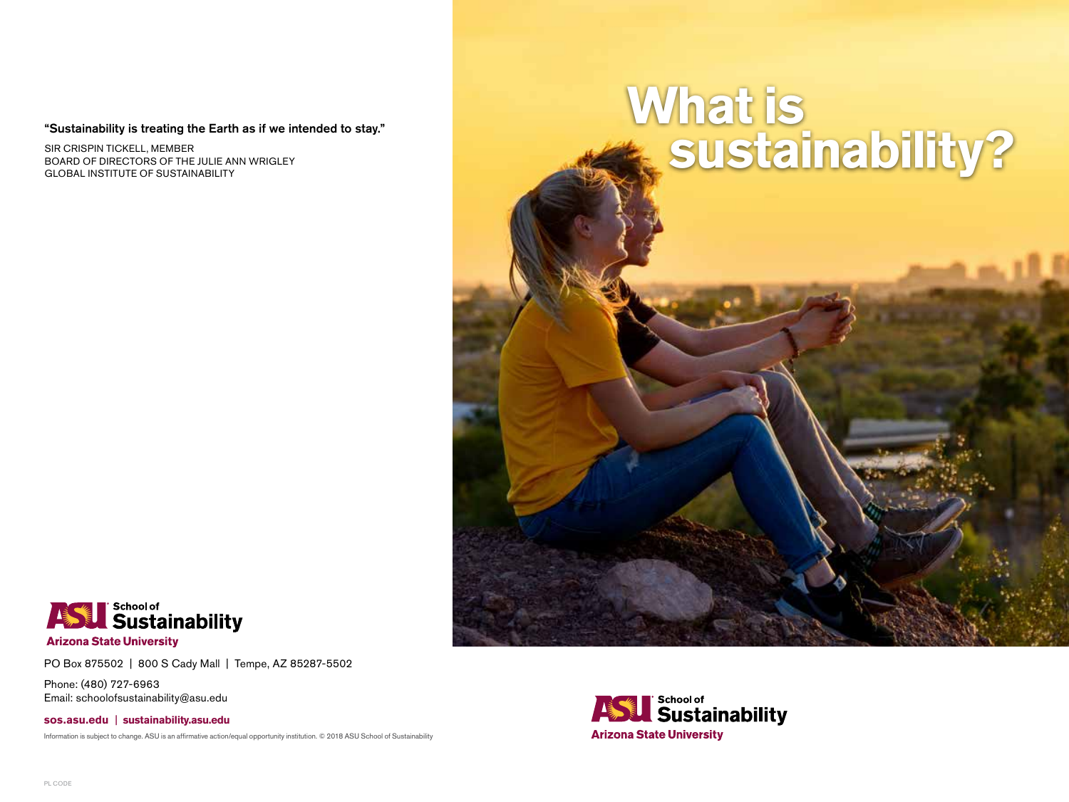## "Sustainability is treating the Earth as if we intended to stay."

SIR CRISPIN TICKELL, MEMBER BOARD OF DIRECTORS OF THE JULIE ANN WRIGLEY GLOBAL INSTITUTE OF SUSTAINABILITY

# **What is sustainability?**



PO Box 875502 | 800 S Cady Mall | Tempe, AZ 85287-5502

Phone: (480) 727-6963 Email: schoolofsustainability@asu.edu

**sos.asu.edu | sustainability.asu.edu**

Information is subject to change. ASU is an affirmative action/equal opportunity institution. © 2018 ASU School of Sustainability